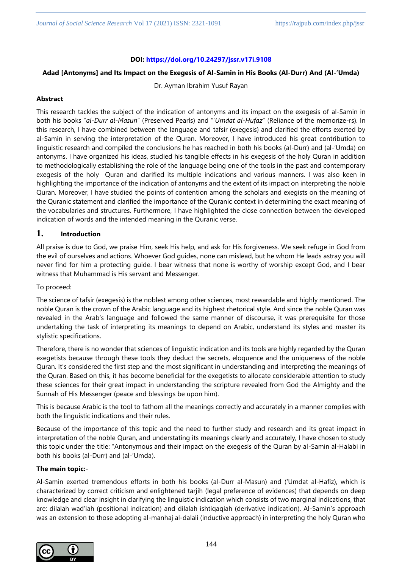# **DOI: <https://doi.org/10.24297/jssr.v17i.9108>**

## **Adad [Antonyms] and Its Impact on the Exegesis of Al-Samin in His Books (Al-Durr) And (Al-'Umda)**

Dr. Ayman Ibrahim Yusuf Rayan

# **Abstract**

This research tackles the subject of the indication of antonyms and its impact on the exegesis of al-Samin in both his books "*al-Durr al-Masun*" (Preserved Pearls) and "'*Umdat al-Hufaz*" (Reliance of the memorize-rs). In this research, I have combined between the language and tafsir (exegesis) and clarified the efforts exerted by al-Samin in serving the interpretation of the Quran. Moreover, I have introduced his great contribution to linguistic research and compiled the conclusions he has reached in both his books (al-Durr) and (al-'Umda) on antonyms. I have organized his ideas, studied his tangible effects in his exegesis of the holy Quran in addition to methodologically establishing the role of the language being one of the tools in the past and contemporary exegesis of the holy Quran and clarified its multiple indications and various manners. I was also keen in highlighting the importance of the indication of antonyms and the extent of its impact on interpreting the noble Quran. Moreover, I have studied the points of contention among the scholars and exegists on the meaning of the Quranic statement and clarified the importance of the Quranic context in determining the exact meaning of the vocabularies and structures. Furthermore, I have highlighted the close connection between the developed indication of words and the intended meaning in the Quranic verse.

# **1. Introduction**

All praise is due to God, we praise Him, seek His help, and ask for His forgiveness. We seek refuge in God from the evil of ourselves and actions. Whoever God guides, none can mislead, but he whom He leads astray you will never find for him a protecting guide. I bear witness that none is worthy of worship except God, and I bear witness that Muhammad is His servant and Messenger.

# To proceed:

The science of tafsir (exegesis) is the noblest among other sciences, most rewardable and highly mentioned. The noble Quran is the crown of the Arabic language and its highest rhetorical style. And since the noble Quran was revealed in the Arab's language and followed the same manner of discourse, it was prerequisite for those undertaking the task of interpreting its meanings to depend on Arabic, understand its styles and master its stylistic specifications.

Therefore, there is no wonder that sciences of linguistic indication and its tools are highly regarded by the Quran exegetists because through these tools they deduct the secrets, eloquence and the uniqueness of the noble Quran. It's considered the first step and the most significant in understanding and interpreting the meanings of the Quran. Based on this, it has become beneficial for the exegetists to allocate considerable attention to study these sciences for their great impact in understanding the scripture revealed from God the Almighty and the Sunnah of His Messenger (peace and blessings be upon him).

This is because Arabic is the tool to fathom all the meanings correctly and accurately in a manner complies with both the linguistic indications and their rules.

Because of the importance of this topic and the need to further study and research and its great impact in interpretation of the noble Quran, and understating its meanings clearly and accurately, I have chosen to study this topic under the title: "Antonymous and their impact on the exegesis of the Quran by al-Samin al-Halabi in both his books (al-Durr) and (al-'Umda).

# **The main topic:**-

Al-Samin exerted tremendous efforts in both his books (al-Durr al-Masun) and ('Umdat al-Hafiz), which is characterized by correct criticism and enlightened tarjih (legal preference of evidences) that depends on deep knowledge and clear insight in clarifying the linguistic indication which consists of two marginal indications, that are: dilalah wad'iah (positional indication) and dilalah ishtiqaqiah (derivative indication). Al-Samin's approach was an extension to those adopting al-manhaj al-dalali (inductive approach) in interpreting the holy Quran who

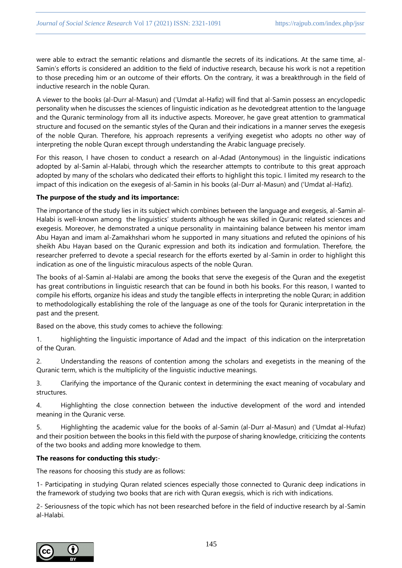were able to extract the semantic relations and dismantle the secrets of its indications. At the same time, al-Samin's efforts is considered an addition to the field of inductive research, because his work is not a repetition to those preceding him or an outcome of their efforts. On the contrary, it was a breakthrough in the field of inductive research in the noble Quran.

A viewer to the books (al-Durr al-Masun) and ('Umdat al-Hafiz) will find that al-Samin possess an encyclopedic personality when he discusses the sciences of linguistic indication as he devotedgreat attention to the language and the Quranic terminology from all its inductive aspects. Moreover, he gave great attention to grammatical structure and focused on the semantic styles of the Quran and their indications in a manner serves the exegesis of the noble Quran. Therefore, his approach represents a verifying exegetist who adopts no other way of interpreting the noble Quran except through understanding the Arabic language precisely.

For this reason, I have chosen to conduct a research on al-Adad (Antonymous) in the linguistic indications adopted by al-Samin al-Halabi, through which the researcher attempts to contribute to this great approach adopted by many of the scholars who dedicated their efforts to highlight this topic. I limited my research to the impact of this indication on the exegesis of al-Samin in his books (al-Durr al-Masun) and ('Umdat al-Hafiz).

# **The purpose of the study and its importance:**

The importance of the study lies in its subject which combines between the language and exegesis, al-Samin al-Halabi is well-known among the linguistics' students although he was skilled in Quranic related sciences and exegesis. Moreover, he demonstrated a unique personality in maintaining balance between his mentor imam Abu Hayan and imam al-Zamakhshari whom he supported in many situations and refuted the opinions of his sheikh Abu Hayan based on the Quranic expression and both its indication and formulation. Therefore, the researcher preferred to devote a special research for the efforts exerted by al-Samin in order to highlight this indication as one of the linguistic miraculous aspects of the noble Quran.

The books of al-Samin al-Halabi are among the books that serve the exegesis of the Quran and the exegetist has great contributions in linguistic research that can be found in both his books. For this reason, I wanted to compile his efforts, organize his ideas and study the tangible effects in interpreting the noble Quran; in addition to methodologically establishing the role of the language as one of the tools for Quranic interpretation in the past and the present.

Based on the above, this study comes to achieve the following:

1. highlighting the linguistic importance of Adad and the impact of this indication on the interpretation of the Quran.

2. Understanding the reasons of contention among the scholars and exegetists in the meaning of the Quranic term, which is the multiplicity of the linguistic inductive meanings.

3. Clarifying the importance of the Quranic context in determining the exact meaning of vocabulary and structures.

4. Highlighting the close connection between the inductive development of the word and intended meaning in the Quranic verse.

5. Highlighting the academic value for the books of al-Samin (al-Durr al-Masun) and ('Umdat al-Hufaz) and their position between the books in this field with the purpose of sharing knowledge, criticizing the contents of the two books and adding more knowledge to them.

# **The reasons for conducting this study:**-

The reasons for choosing this study are as follows:

1- Participating in studying Quran related sciences especially those connected to Quranic deep indications in the framework of studying two books that are rich with Quran exegsis, which is rich with indications.

2- Seriousness of the topic which has not been researched before in the field of inductive research by al-Samin al-Halabi.

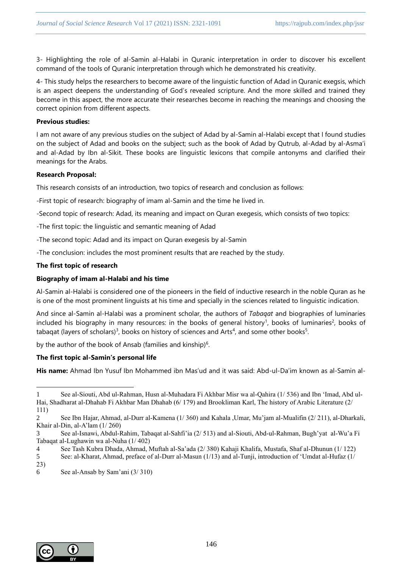3- Highlighting the role of al-Samin al-Halabi in Quranic interpretation in order to discover his excellent command of the tools of Quranic interpretation through which he demonstrated his creativity.

4- This study helps the researchers to become aware of the linguistic function of Adad in Quranic exegsis, which is an aspect deepens the understanding of God's revealed scripture. And the more skilled and trained they become in this aspect, the more accurate their researches become in reaching the meanings and choosing the correct opinion from different aspects.

# **Previous studies:**

I am not aware of any previous studies on the subject of Adad by al-Samin al-Halabi except that I found studies on the subject of Adad and books on the subject; such as the book of Adad by Qutrub, al-Adad by al-Asma'i and al-Adad by Ibn al-Sikit. These books are linguistic lexicons that compile antonyms and clarified their meanings for the Arabs.

## **Research Proposal:**

This research consists of an introduction, two topics of research and conclusion as follows:

-First topic of research: biography of imam al-Samin and the time he lived in.

-Second topic of research: Adad, its meaning and impact on Quran exegesis, which consists of two topics:

-The first topic: the linguistic and semantic meaning of Adad

-The second topic: Adad and its impact on Quran exegesis by al-Samin

-The conclusion: includes the most prominent results that are reached by the study.

# **The first topic of research**

# **Biography of imam al-Halabi and his time**

Al-Samin al-Halabi is considered one of the pioneers in the field of inductive research in the noble Quran as he is one of the most prominent linguists at his time and specially in the sciences related to linguistic indication.

And since al-Samin al-Halabi was a prominent scholar, the authors of *Tabaqat* and biographies of luminaries included his biography in many resources: in the books of general history<sup>1</sup>, books of luminaries<sup>2</sup>, books of tabaqat (layers of scholars)<sup>3</sup>, books on history of sciences and Arts<sup>4</sup>, and some other books<sup>5</sup>.

by the author of the book of Ansab (families and kinship)<sup>6</sup>.

# **The first topic al-Samin's personal life**

**His name:** Ahmad Ibn Yusuf Ibn Mohammed ibn Mas'ud and it was said: Abd-ul-Da'im known as al-Samin al-

4 See Tash Kubra Dhada, Ahmad, Muftah al-Sa'ada (2/ 380) Kahaji Khalifa, Mustafa, Shaf al-Dhunun (1/ 122)



<sup>1</sup> See al-Siouti, Abd ul-Rahman, Husn al-Muhadara Fi Akhbar Misr wa al-Qahira (1/ 536) and Ibn 'Imad, Abd ul-Hai, Shadharat al-Dhahab Fi Akhbar Man Dhahab (6/ 179) and Brookliman Karl, The history of Arabic Literature (2/ 111)

<sup>2</sup> See Ibn Hajar, Ahmad, al-Durr al-Kamena (1/ 360) and Kahala ,Umar, Mu'jam al-Mualifin (2/ 211), al-Dharkali, Khair al-Din, al-A'lam (1/ 260)

<sup>3</sup> See al-Isnawi, Abdul-Rahim, Tabaqat al-Sahfi'ia (2/ 513) and al-Siouti, Abd-ul-Rahman, Bugh'yat al-Wu'a Fi Tabaqat al-Lughawin wa al-Nuha (1/ 402)

<sup>5</sup> See: al-Kharat, Ahmad, preface of al-Durr al-Masun (1/13) and al-Tunji, introduction of 'Umdat al-Hufaz (1/ 23)

<sup>6</sup> See al-Ansab by Sam'ani (3/ 310)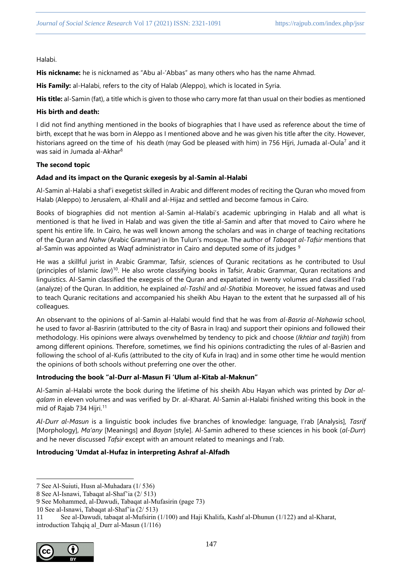Halabi.

**His nickname:** he is nicknamed as "Abu al-'Abbas" as many others who has the name Ahmad.

**His Family:** al-Halabi, refers to the city of Halab (Aleppo), which is located in Syria.

**His title:** al-Samin (fat), a title which is given to those who carry more fat than usual on their bodies as mentioned

## **His birth and death:**

I did not find anything mentioned in the books of biographies that I have used as reference about the time of birth, except that he was born in Aleppo as I mentioned above and he was given his title after the city. However, historians agreed on the time of his death (may God be pleased with him) in 756 Hijri, Jumada al-Oula<sup>7</sup> and it was said in Jumada al-Akhar<sup>8</sup>

## **The second topic**

# **Adad and its impact on the Quranic exegesis by al-Samin al-Halabi**

Al-Samin al-Halabi a shaf'i exegetist skilled in Arabic and different modes of reciting the Quran who moved from Halab (Aleppo) to Jerusalem, al-Khalil and al-Hijaz and settled and become famous in Cairo.

Books of biographies did not mention al-Samin al-Halabi's academic upbringing in Halab and all what is mentioned is that he lived in Halab and was given the title al-Samin and after that moved to Cairo where he spent his entire life. In Cairo, he was well known among the scholars and was in charge of teaching recitations of the Quran and *Nahw* (Arabic Grammar) in Ibn Tulun's mosque. The author of *Tabaqat al-Tafsir* mentions that al-Samin was appointed as Waqf administrator in Cairo and deputed some of its judges  $9$ 

He was a skillful jurist in Arabic Grammar, Tafsir, sciences of Quranic recitations as he contributed to Usul (principles of Islamic *law*) <sup>10</sup>. He also wrote classifying books in Tafsir, Arabic Grammar, Quran recitations and linguistics. Al-Samin classified the exegesis of the Quran and expatiated in twenty volumes and classified I'rab (analyze) of the Quran. In addition, he explained *al-Tashil* and *al-Shatibia.* Moreover*,* he issued fatwas and used to teach Quranic recitations and accompanied his sheikh Abu Hayan to the extent that he surpassed all of his colleagues.

An observant to the opinions of al-Samin al-Halabi would find that he was from *al-Basria al-Nahawia* school, he used to favor al-Basririn (attributed to the city of Basra in Iraq) and support their opinions and followed their methodology. His opinions were always overwhelmed by tendency to pick and choose (*Ikhtiar and tarjih*) from among different opinions. Therefore, sometimes, we find his opinions contradicting the rules of al-Basrien and following the school of al-Kufis (attributed to the city of Kufa in Iraq) and in some other time he would mention the opinions of both schools without preferring one over the other.

# **Introducing the book "al-Durr al-Masun Fi 'Ulum al-Kitab al-Maknun"**

Al-Samin al-Halabi wrote the book during the lifetime of his sheikh Abu Hayan which was printed by *Dar alqalam* in eleven volumes and was verified by Dr. al-Kharat. Al-Samin al-Halabi finished writing this book in the mid of Rajab 734 Hijri.<sup>11</sup>

*Al-Durr al-Masun* is a linguistic book includes five branches of knowledge: language, I'rab [Analysis], *Tasrif* [Morphology], *Ma'any* [Meanings] and *Bayan* [style]. Al-Samin adhered to these sciences in his book (*al-Durr*) and he never discussed *Tafsir* except with an amount related to meanings and I'rab.

# **Introducing 'Umdat al-Hufaz in interpreting Ashraf al-Alfadh**

<sup>11</sup> See al-Dawudi, tabaqat al-Mufsirin (1/100) and Haji Khalifa, Kashf al-Dhunun (1/122) and al-Kharat, introduction Tahqiq al\_Durr al-Masun (1/116)



<sup>7</sup> See Al-Suiuti, Husn al-Muhadara (1/ 536)

<sup>8</sup> See Al-Isnawi, Tabaqat al-Shaf'ia (2/ 513)

<sup>9</sup> See Mohammed, al-Dawudi, Tabaqat al-Mufasirin (page 73)

<sup>10</sup> See al-Isnawi, Tabaqat al-Shaf'ia (2/ 513)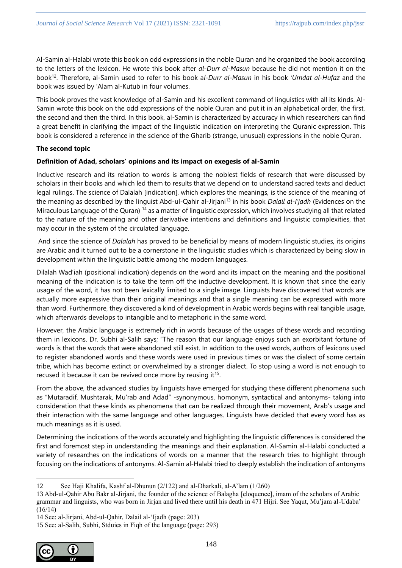Al-Samin al-Halabi wrote this book on odd expressions in the noble Quran and he organized the book according to the letters of the lexicon. He wrote this book after *al-Durr al-Masun* because he did not mention it on the book<sup>12</sup>. Therefore, al-Samin used to refer to his book a*l-Durr al-Masun* in his book *'Umdat al-Hufaz* and the book was issued by 'Alam al-Kutub in four volumes.

This book proves the vast knowledge of al-Samin and his excellent command of linguistics with all its kinds. Al-Samin wrote this book on the odd expressions of the noble Quran and put it in an alphabetical order, the first, the second and then the third. In this book, al-Samin is characterized by accuracy in which researchers can find a great benefit in clarifying the impact of the linguistic indication on interpreting the Quranic expression. This book is considered a reference in the science of the Gharib (strange, unusual) expressions in the noble Quran.

# **The second topic**

# **Definition of Adad, scholars' opinions and its impact on exegesis of al-Samin**

Inductive research and its relation to words is among the noblest fields of research that were discussed by scholars in their books and which led them to results that we depend on to understand sacred texts and deduct legal rulings. The science of Dalalah [indication], which explores the meanings, is the science of the meaning of the meaning as described by the linguist Abd-ul-Qahir al-Jirjani<sup>13</sup> in his book *Dalail al-I'jadh* (Evidences on the Miraculous Language of the Quran) <sup>14</sup> as a matter of linguistic expression, which involves studying all that related to the nature of the meaning and other derivative intentions and definitions and linguistic complexities, that may occur in the system of the circulated language.

And since the science of *Dalalah* has proved to be beneficial by means of modern linguistic studies, its origins are Arabic and it turned out to be a cornerstone in the linguistic studies which is characterized by being slow in development within the linguistic battle among the modern languages.

Dilalah Wad'iah (positional indication) depends on the word and its impact on the meaning and the positional meaning of the indication is to take the term off the inductive development. It is known that since the early usage of the word, it has not been lexically limited to a single image. Linguists have discovered that words are actually more expressive than their original meanings and that a single meaning can be expressed with more than word. Furthermore, they discovered a kind of development in Arabic words begins with real tangible usage, which afterwards develops to intangible and to metaphoric in the same word.

However, the Arabic language is extremely rich in words because of the usages of these words and recording them in lexicons. Dr. Subhi al-Salih says; "The reason that our language enjoys such an exorbitant fortune of words is that the words that were abandoned still exist. In addition to the used words, authors of lexicons used to register abandoned words and these words were used in previous times or was the dialect of some certain tribe, which has become extinct or overwhelmed by a stronger dialect. To stop using a word is not enough to recused it because it can be revived once more by reusing it<sup>15</sup>.

From the above, the advanced studies by linguists have emerged for studying these different phenomena such as "Mutaradif, Mushtarak, Mu'rab and Adad" -synonymous, homonym, syntactical and antonyms- taking into consideration that these kinds as phenomena that can be realized through their movement, Arab's usage and their interaction with the same language and other languages. Linguists have decided that every word has as much meanings as it is used.

Determining the indications of the words accurately and highlighting the linguistic differences is considered the first and foremost step in understanding the meanings and their explanation. Al-Samin al-Halabi conducted a variety of researches on the indications of words on a manner that the research tries to highlight through focusing on the indications of antonyms. Al-Samin al-Halabi tried to deeply establish the indication of antonyms

<sup>15</sup> See: al-Salih, Subhi, Stduies in Fiqh of the language (page: 293)



<sup>12</sup> See Haji Khalifa, Kashf al-Dhunun (2/122) and al-Dharkali, al-A'lam (1/260)

<sup>13</sup> Abd-ul-Qahir Abu Bakr al-Jirjani, the founder of the science of Balagha [eloquence], imam of the scholars of Arabic grammar and linguists, who was born in Jirjan and lived there until his death in 471 Hijri. See Yaqut, Mu'jam al-Udaba' (16/14)

<sup>14</sup> See: al-Jirjani, Abd-ul-Qahir, Dalail al-'Ijadh (page: 203)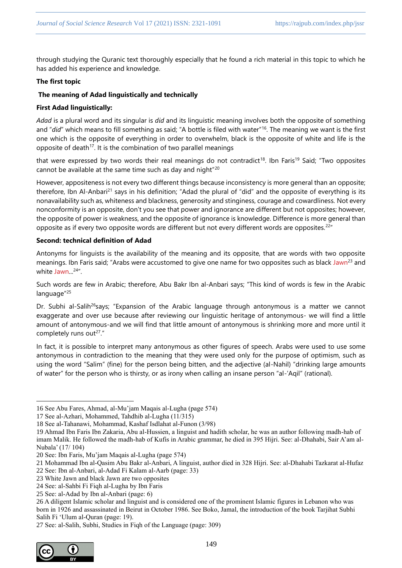through studying the Quranic text thoroughly especially that he found a rich material in this topic to which he has added his experience and knowledge.

# **The first topic**

# **The meaning of Adad linguistically and technically**

# **First Adad linguistically:**

*Adad* is a plural word and its singular is *did* and its linguistic meaning involves both the opposite of something and "*did*" which means to fill something as said; "A bottle is filed with water"<sup>16</sup>. The meaning we want is the first one which is the opposite of everything in order to overwhelm, black is the opposite of white and life is the opposite of death<sup>17</sup>. It is the combination of two parallel meanings

that were expressed by two words their real meanings do not contradict<sup>18</sup>. Ibn Faris<sup>19</sup> Said; "Two opposites cannot be available at the same time such as day and night"<sup>20</sup>

However, appositeness is not every two different things because inconsistency is more general than an opposite; therefore, Ibn Al-Anbari<sup>21</sup> says in his definition; "Adad the plural of "did" and the opposite of everything is its nonavailability such as, whiteness and blackness, generosity and stinginess, courage and cowardliness. Not every nonconformity is an opposite, don't you see that power and ignorance are different but not opposites; however, the opposite of power is weakness, and the opposite of ignorance is knowledge. Difference is more general than opposite as if every two opposite words are different but not every different words are opposites.<sup>22"</sup>

# **Second: technical definition of Adad**

Antonyms for linguists is the availability of the meaning and its opposite, that are words with two opposite meanings. Ibn Faris said; "Arabs were accustomed to give one name for two opposites such as black Jawn<sup>23</sup> and white Jawn...<sup>24</sup>".

Such words are few in Arabic; therefore, Abu Bakr Ibn al-Anbari says; "This kind of words is few in the Arabic language"<sup>25</sup>

Dr. Subhi al-Salih<sup>26</sup>says; "Expansion of the Arabic language through antonymous is a matter we cannot exaggerate and over use because after reviewing our linguistic heritage of antonymous- we will find a little amount of antonymous-and we will find that little amount of antonymous is shrinking more and more until it completely runs out<sup>27</sup>."

In fact, it is possible to interpret many antonymous as other figures of speech. Arabs were used to use some antonymous in contradiction to the meaning that they were used only for the purpose of optimism, such as using the word "Salim" (fine) for the person being bitten, and the adjective (al-Nahil) "drinking large amounts of water" for the person who is thirsty, or as irony when calling an insane person "al-'Aqil" (rational).

<sup>27</sup> See: al-Salih, Subhi, Studies in Fiqh of the Language (page: 309)



<sup>16</sup> See Abu Fares, Ahmad, al-Mu'jam Maqais al-Lugha (page 574)

<sup>17</sup> See al-Azhari, Mohammed, Tahdhib al-Lugha (11/315)

<sup>18</sup> See al-Tahanawi, Mohammad, Kashaf Isdlahat al-Funon (3/98)

<sup>19</sup> Ahmad Ibn Faris Ibn Zakaria, Abu al-Hussien, a linguist and hadith scholar, he was an author following madh-hab of imam Malik. He followed the madh-hab of Kufis in Arabic grammar, he died in 395 Hijri. See: al-Dhahabi, Sair A'am al-Nubala' (17/ 104)

<sup>20</sup> See: Ibn Faris, Mu'jam Maqais al-Lugha (page 574)

<sup>21</sup> Mohammad Ibn al-Qasim Abu Bakr al-Anbari, A linguist, author died in 328 Hijri. See: al-Dhahabi Tazkarat al-Hufaz

<sup>22</sup> See: Ibn al-Anbari, al-Adad Fi Kalam al-Aarb (page: 33)

<sup>23</sup> White Jawn and black Jawn are two opposites

<sup>24</sup> See: al-Sahbi Fi Fiqh al-Lugha by Ibn Faris

<sup>25</sup> See: al-Adad by Ibn al-Anbari (page: 6)

<sup>26</sup> A diligent Islamic scholar and linguist and is considered one of the prominent Islamic figures in Lebanon who was born in 1926 and assassinated in Beirut in October 1986. See Boko, Jamal, the introduction of the book Tarjihat Subhi Salih Fi 'Ulum al-Quran (page: 19).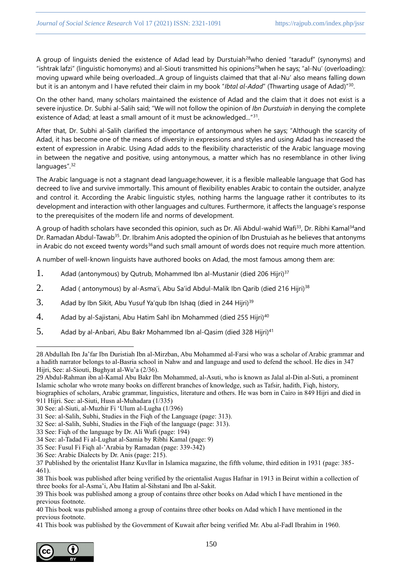A group of linguists denied the existence of Adad lead by Durstuiah<sup>28</sup>who denied "taraduf" (synonyms) and "ishtrak lafzi" (linguistic homonyms) and al-Siouti transmitted his opinions<sup>29</sup>when he says; "al-Nu' (overloading): moving upward while being overloaded...A group of linguists claimed that that al-Nu' also means falling down but it is an antonym and I have refuted their claim in my book "*Ibtal al-Adad*" (Thwarting usage of Adad)"<sup>30</sup> .

On the other hand, many scholars maintained the existence of Adad and the claim that it does not exist is a severe injustice. Dr. Subhi al-Salih said; "We will not follow the opinion of *Ibn Durstuiah* in denying the complete existence of Adad; at least a small amount of it must be acknowledged..."<sup>31</sup>.

After that, Dr. Subhi al-Salih clarified the importance of antonymous when he says; "Although the scarcity of Adad, it has become one of the means of diversity in expressions and styles and using Adad has increased the extent of expression in Arabic. Using Adad adds to the flexibility characteristic of the Arabic language moving in between the negative and positive, using antonymous, a matter which has no resemblance in other living languages".<sup>32</sup>

The Arabic language is not a stagnant dead language;however, it is a flexible malleable language that God has decreed to live and survive immortally. This amount of flexibility enables Arabic to contain the outsider, analyze and control it. According the Arabic linguistic styles, nothing harms the language rather it contributes to its development and interaction with other languages and cultures. Furthermore, it affects the language's response to the prerequisites of the modern life and norms of development.

A group of hadith scholars have seconded this opinion, such as Dr. Ali Abdul-wahid Wafi<sup>33</sup>, Dr. Ribhi Kamal<sup>34</sup>and Dr. Ramadan Abdul-Tawab<sup>35</sup>. Dr. Ibrahim Anis adopted the opinion of Ibn Drustuiah as he believes that antonyms in Arabic do not exceed twenty words<sup>36</sup>and such small amount of words does not require much more attention.

A number of well-known linguists have authored books on Adad, the most famous among them are:

- 1. Adad (antonymous) by Qutrub, Mohammed Ibn al-Mustanir (died 206 Hijri)<sup>37</sup>
- 2. Adad ( antonymous) by al-Asma'i, Abu Sa'id Abdul-Malik Ibn Qarib (died 216 Hijri)<sup>38</sup>
- 3. Adad by Ibn Sikit, Abu Yusuf Ya'qub Ibn Ishaq (died in 244 Hijri)<sup>39</sup>
- 4. Adad by al-Sajistani, Abu Hatim Sahl ibn Mohammed (died 255 Hijri)<sup>40</sup>
- 5. Adad by al-Anbari, Abu Bakr Mohammed Ibn al-Qasim (died 328 Hijri)<sup>41</sup>

<sup>41</sup> This book was published by the Government of Kuwait after being verified Mr. Abu al-Fadl Ibrahim in 1960.



<sup>28</sup> Abdullah Ibn Ja'far Ibn Duristiah Ibn al-Mirzban, Abu Mohammed al-Farsi who was a scholar of Arabic grammar and a hadith narrator belongs to al-Basria school in Nahw and and language and used to defend the school. He dies in 347 Hijri, See: al-Siouti, Bughyat al-Wu'a (2/36).

<sup>29</sup> Abdul-Rahman ibn al-Kamal Abu Bakr Ibn Mohammed, al-Asuti, who is known as Jalal al-Din al-Suti, a prominent Islamic scholar who wrote many books on different branches of knowledge, such as Tafsir, hadith, Fiqh, history, biographies of scholars, Arabic grammar, linguistics, literature and others. He was born in Cairo in 849 Hijri and died in

<sup>911</sup> Hijri. See: al-Siuti, Husn al-Muhadara (1/335)

<sup>30</sup> See: al-Siuti, al-Muzhir Fi 'Ulum al-Lugha (1/396)

<sup>31</sup> See: al-Salih, Subhi, Studies in the Fiqh of the Language (page: 313).

<sup>32</sup> See: al-Salih, Subhi, Studies in the Fiqh of the language (page: 313).

<sup>33</sup> See: Fiqh of the language by Dr. Ali Wafi (page: 194)

<sup>34</sup> See: al-Tadad Fi al-Lughat al-Samia by Ribhi Kamal (page: 9)

<sup>35</sup> See: Fusul Fi Fiqh al-'Arabia by Ramadan (page: 339-342)

<sup>36</sup> See: Arabic Dialects by Dr. Anis (page: 215).

<sup>37</sup> Published by the orientalist Hanz Kuvllar in Islamica magazine, the fifth volume, third edition in 1931 (page: 385- 461).

<sup>38</sup> This book was published after being verified by the orientalist Augus Hafnar in 1913 in Beirut within a collection of three books for al-Asma'i, Abu Hatim al-Sihstani and Ibn al-Sakit.

<sup>39</sup> This book was published among a group of contains three other books on Adad which I have mentioned in the previous footnote.

<sup>40</sup> This book was published among a group of contains three other books on Adad which I have mentioned in the previous footnote.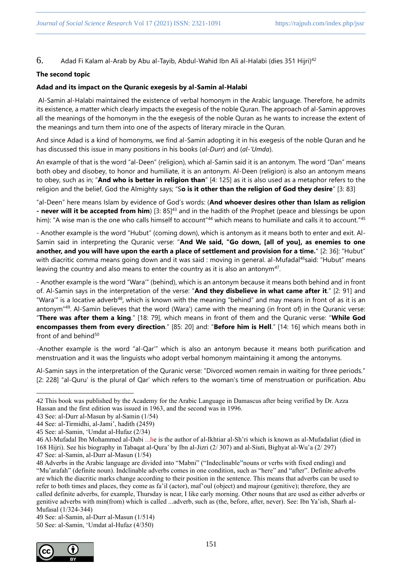6. Adad Fi Kalam al-Arab by Abu al-Tayib, Abdul-Wahid Ibn Ali al-Halabi (dies 351 Hijri)<sup>42</sup>

# **The second topic**

# **Adad and its impact on the Quranic exegesis by al-Samin al-Halabi**

Al-Samin al-Halabi maintained the existence of verbal homonym in the Arabic language. Therefore, he admits its existence, a matter which clearly impacts the exegesis of the noble Quran. The approach of al-Samin approves all the meanings of the homonym in the the exegesis of the noble Quran as he wants to increase the extent of the meanings and turn them into one of the aspects of literary miracle in the Quran.

And since Adad is a kind of homonyms, we find al-Samin adopting it in his exegesis of the noble Quran and he has discussed this issue in many positions in his books (*al-Durr*) and (*al-'Umda*).

An example of that is the word "al-Deen" (religion), which al-Samin said it is an antonym. The word "Dan" means both obey and disobey, to honor and humiliate, it is an antonym. Al-Deen (religion) is also an antonym means to obey, such as in; "**And who is better in religion than**" [4: 125] as it is also used as a metaphor refers to the religion and the belief, God the Almighty says; "S**o is it other than the religion of God they desire**" [3: 83]

"al-Deen" here means Islam by evidence of God's words: (**And whoever desires other than Islam as religion - never will it be accepted from him**) [3: 85]<sup>43</sup> and in the hadith of the Prophet (peace and blessings be upon him): "A wise man is the one who calls himself to account"<sup>44</sup> which means to humiliate and calls it to account."<sup>45</sup>

- Another example is the word "Hubut" (coming down), which is antonym as it means both to enter and exit. Al-Samin said in interpreting the Quranic verse: "**And We said, "Go down, [all of you], as enemies to one another, and you will have upon the earth a place of settlement and provision for a time.**" [2: 36]: "Hubut" with diacritic comma means going down and it was said : moving in general. al-Mufadal<sup>46</sup>said: "Hubut" means leaving the country and also means to enter the country as it is also an antonym<sup>47</sup>.

- Another example is the word "Wara'" (behind), which is an antonym because it means both behind and in front of. Al-Samin says in the interpretation of the verse: "**And they disbelieve in what came after it**." [2: 91] and "Wara'" is a locative adverb<sup>48</sup>, which is known with the meaning "behind" and may means in front of as it is an antonym"<sup>49</sup>. Al-Samin believes that the word (Wara') came with the meaning (in front of) in the Quranic verse: "**There was after them a king**." [18: 79], which means in front of them and the Quranic verse: "**While God encompasses them from every direction**." [85: 20] and: "**Before him is Hell**." [14: 16] which means both in front of and behind $50$ 

-Another example is the word "al-Qar'" which is also an antonym because it means both purification and menstruation and it was the linguists who adopt verbal homonym maintaining it among the antonyms.

Al-Samin says in the interpretation of the Quranic verse: "Divorced women remain in waiting for three periods." [2: 228] "al-Quru' is the plural of Qar' which refers to the woman's time of menstruation or purification. Abu

49 See: al-Samin, al-Durr al-Masun (1/514)

50 See: al-Samin, 'Umdat al-Hufaz (4/350)



<sup>42</sup> This book was published by the Academy for the Arabic Language in Damascus after being verified by Dr. Azza Hassan and the first edition was issued in 1963, and the second was in 1996.

<sup>43</sup> See: al-Durr al-Masun by al-Samin (1/54)

<sup>44</sup> See: al-Tirmidhi, al-Jami', hadith (2459)

<sup>45</sup> See: al-Samin, 'Umdat al-Hufaz (2/34)

<sup>46</sup> Al-Mufadal Ibn Mohammed al-Dabi ...he is the author of al-Ikhtiar al-Sh'ri which is known as al-Mufadaliat (died in 168 Hijri). See his biography in Tabaqat al-Qura' by Ibn al-Jizri (2/ 307) and al-Siuti, Bighyat al-Wu'a (2/ 297) 47 See: al-Samin, al-Durr al-Masun (1/54)

<sup>48</sup> Adverbs in the Arabic language are divided into "Mabni" ("Indeclinable**"**nouns or verbs with fixed ending) and "Mu'arafah" (definite noun). Indclinable adverbs comes in one condition, such as "here" and "after". Definite adverbs are which the diacritic marks change according to their position in the sentence. This means that adverbs can be used to refer to both times and places, they come as fa'il (actor), maf'oul (object) and majrour (genitive); therefore, they are called definite adverbs, for example, Thursday is near, I like early morning. Other nouns that are used as either adverbs or genitive adverbs with min(from) which is called ...adverb, such as (the, before, after, never). See: Ibn Ya'ish, Sharh al-Mufasal (1/324-344)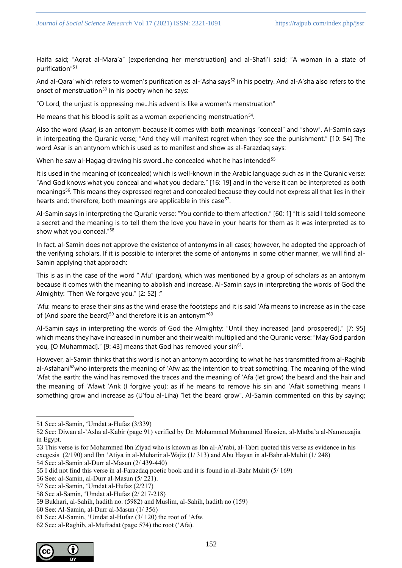Haifa said; "Aqrat al-Mara'a" [experiencing her menstruation] and al-Shafi'i said; "A woman in a state of purification"<sup>51</sup>

And al-Qara' which refers to women's purification as al-'Asha says<sup>52</sup> in his poetry. And al-A'sha also refers to the onset of menstruation<sup>53</sup> in his poetry when he says:

"O Lord, the unjust is oppressing me...his advent is like a women's menstruation"

He means that his blood is split as a woman experiencing menstruation<sup>54</sup>.

Also the word (Asar) is an antonym because it comes with both meanings "conceal" and "show". Al-Samin says in interpeating the Quranic verse; "And they will manifest regret when they see the punishment." [10: 54] The word Asar is an antynom which is used as to manifest and show as al-Farazdaq says:

When he saw al-Hagag drawing his sword...he concealed what he has intended<sup>55</sup>

It is used in the meaning of (concealed) which is well-known in the Arabic language such as in the Quranic verse: "And God knows what you conceal and what you declare." [16: 19] and in the verse it can be interpreted as both meanings<sup>56</sup>. This means they expressed regret and concealed because they could not express all that lies in their hearts and; therefore, both meanings are applicable in this case<sup>57</sup>.

Al-Samin says in interpreting the Quranic verse: "You confide to them affection." [60: 1] "It is said I told someone a secret and the meaning is to tell them the love you have in your hearts for them as it was interpreted as to show what you conceal."<sup>58</sup>

In fact, al-Samin does not approve the existence of antonyms in all cases; however, he adopted the approach of the verifying scholars. If it is possible to interpret the some of antonyms in some other manner, we will find al-Samin applying that approach:

This is as in the case of the word "'Afu" (pardon), which was mentioned by a group of scholars as an antonym because it comes with the meaning to abolish and increase. Al-Samin says in interpreting the words of God the Almighty: "Then We forgave you." [2: 52] :"

'Afu: means to erase their sins as the wind erase the footsteps and it is said 'Afa means to increase as in the case of (And spare the beard)<sup>59</sup> and therefore it is an antonym<sup>"60</sup>

Al-Samin says in interpreting the words of God the Almighty: "Until they increased [and prospered]." [7: 95] which means they have increased in number and their wealth multiplied and the Quranic verse: "May God pardon you, [O Muhammad]." [9: 43] means that God has removed your sin<sup>61</sup>.

However, al-Samin thinks that this word is not an antonym according to what he has transmitted from al-Raghib al-Asfahani<sup>62</sup>who interprets the meaning of 'Afw as: the intention to treat something. The meaning of the wind 'Afat the earth: the wind has removed the traces and the meaning of 'Afa (let grow) the beard and the hair and the meaning of 'Afawt 'Ank (I forgive you): as if he means to remove his sin and 'Afait something means I something grow and increase as (U'fou al-Liha) "let the beard grow". Al-Samin commented on this by saying;

54 See: al-Samin al-Durr al-Masun (2/ 439-440)

- 56 See: al-Samin, al-Durr al-Masun (5/ 221).
- 57 See: al-Samin, 'Umdat al-Hufaz (2/217)

<sup>62</sup> See: al-Raghib, al-Mufradat (page 574) the root ('Afa).



<sup>51</sup> See: al-Samin, 'Umdat a-Hufaz (3/339)

<sup>52</sup> See: Diwan al-'Asha al-Kabir (page 91) verified by Dr. Mohammed Mohammed Hussien, al-Matba'a al-Namouzajia in Egypt.

<sup>53</sup> This verse is for Mohammed Ibn Ziyad who is known as Ibn al-A'rabi, al-Tabri quoted this verse as evidence in his exegesis (2/190) and Ibn 'Atiya in al-Muharir al-Wajiz (1/ 313) and Abu Hayan in al-Bahr al-Muhit (1/ 248)

<sup>55</sup> I did not find this verse in al-Farazdaq poetic book and it is found in al-Bahr Muhit (5/ 169)

<sup>58</sup> See al-Samin, 'Umdat al-Hufaz (2/ 217-218)

<sup>59</sup> Bukhari, al-Sahih, hadith no. (5982) and Muslim, al-Sahih, hadith no (159)

<sup>60</sup> See: Al-Samin, al-Durr al-Masun (1/ 356)

<sup>61</sup> See: Al-Samin, 'Umdat al-Hufaz (3/ 120) the root of 'Afw.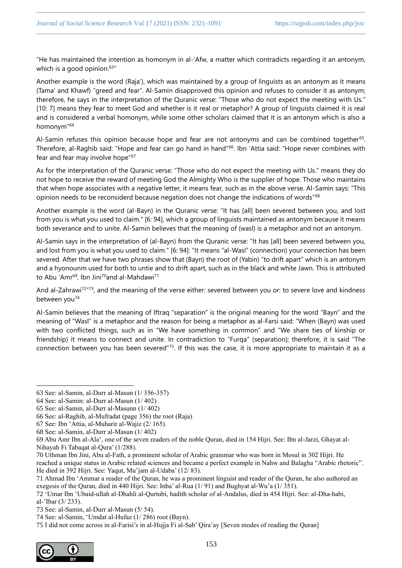"He has maintained the intention as homonym in al-'Afw, a matter which contradicts regarding it an antonym, which is a good opinion. $63"$ 

Another example is the word (Raja'), which was maintained by a group of linguists as an antonym as it means (Tama' and Khawf) "greed and fear". Al-Samin disapproved this opinion and refuses to consider it as antonym; therefore, he says in the interpretation of the Quranic verse: "Those who do not expect the meeting with Us." [10: 7] means they fear to meet God and whether is it real or metaphor? A group of linguists claimed it is real and is considered a verbal homonym, while some other scholars claimed that it is an antonym which is also a homonym"<sup>64</sup>

Al-Samin refuses this opinion because hope and fear are not antonyms and can be combined together<sup>65</sup>. Therefore, al-Raghib said: "Hope and fear can go hand in hand"<sup>66</sup>. Ibn 'Attia said: "Hope never combines with fear and fear may involve hope"<sup>67</sup>

As for the interpretation of the Quranic verse: "Those who do not expect the meeting with Us." means they do not hope to receive the reward of meeting God the Almighty Who is the supplier of hope. Those who maintains that when hope associates with a negative letter, it means fear, such as in the above verse. Al-Samin says: "This opinion needs to be reconsiderd because negation does not change the indications of words"<sup>68</sup>

Another example is the word (al-Bayn) in the Quranic verse: "It has [all] been severed between you, and lost from you is what you used to claim." [6: 94], which a group of linguists maintained as antonym because it means both severance and to unite. Al-Samin believes that the meaning of (wasl) is a metaphor and not an antonym.

Al-Samin says in the interpretation of (al-Bayn) from the Quranic verse: "It has [all] been severed between you, and lost from you is what you used to claim." [6: 94]: "It means "al-Wasl" (connection) your connection has been severed. After that we have two phrases show that (Bayn) the root of (Yabin) "to drift apart" which is an antonym and a hyonounm used for both to untie and to drift apart, such as in the black and white Jawn. This is attributed to Abu 'Amr<sup>69</sup>, Ibn Jini<sup>70</sup>and al-Mahdawi<sup>71</sup>

And al-Zahrawi<sup>72</sup>"<sup>73</sup>, and the meaning of the verse either: severed between you or: to severe love and kindness between you<sup>74</sup>

Al-Samin believes that the meaning of Iftraq "separation" is the original meaning for the word "Bayn" and the meaning of "Wasl" is a metaphor and the reason for being a metaphor as al-Farsi said: "When (Bayn) was used with two conflicted things, such as in "We have something in common" and "We share ties of kinship or friendship) it means to connect and unite. In contradiction to "Furqa" (separation); therefore, it is said "The connection between you has been severed"<sup>75</sup>. If this was the case, it is more appropriate to maintain it as a

<sup>75</sup> I did not come across in al-Farisi's in al-Hujja Fi al-Sab' Qira'ay [Seven modes of reading the Quran]



<sup>63</sup> See: al-Samin, al-Durr al-Masun (1/ 356-357)

<sup>64</sup> See: al-Samin: al-Durr al-Masun (1/ 402)

<sup>65</sup> See: al-Samin, al-Durr al-Masunn (1/ 402)

<sup>66</sup> See: al-Raghib, al-Mufradat (page 356) the root (Raja)

<sup>67</sup> See: Ibn 'Attia, al-Muharir al-Wajiz (2/ 165).

<sup>68</sup> See: al-Samin, al-Durr al-Masun (1/ 402)

<sup>69</sup> Abu Amr Ibn al-Ala', one of the seven readers of the noble Quran, died in 154 Hijri. See: Ibn al-Jarzi, Ghayat al-Nihayah Fi Tabaqat al-Qura' (1/288).

<sup>70</sup> Uthman Ibn Jini, Abu al-Fath, a prominent scholar of Arabic grammar who was born in Mosul in 302 Hijri. He

reached a unique status in Arabic related sciences and became a perfect example in Nahw and Balagha "Arabic rhetoric". He died in 392 Hijri. See: Yaqut, Mu'jam al-Udaba' (12/ 83).

<sup>71</sup> Ahmad Ibn 'Ammar a reader of the Quran, he was a prominent linguist and reader of the Quran, he also authored an exegesis of the Quran, died in 440 Hijri. See: Inba' al-Rua (1/ 91) and Bughyat al-Wu'a (1/ 351).

<sup>72</sup> 'Umar Ibn 'Ubaid-ullah al-Dhahli al-Qurtubi, hadith scholar of al-Andalus, died in 454 Hijri. See: al-Dha-habi, al-'Ibar (3/ 233).

<sup>73</sup> See: al-Samin, al-Durr al-Masun (5/ 54).

<sup>74</sup> See: al-Samin, 'Umdat al-Hufaz (1/ 286) root (Bayn).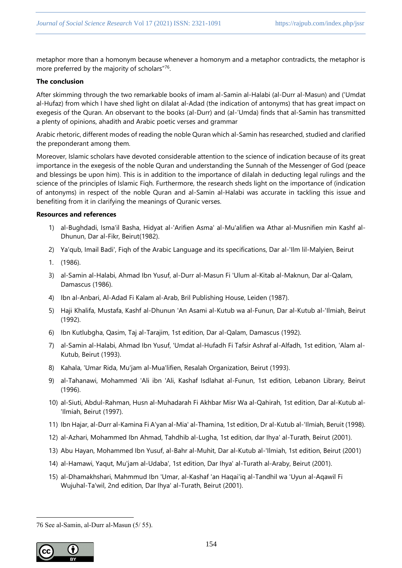metaphor more than a homonym because whenever a homonym and a metaphor contradicts, the metaphor is more preferred by the majority of scholars"<sup>76</sup>.

# **The conclusion**

After skimming through the two remarkable books of imam al-Samin al-Halabi (al-Durr al-Masun) and ('Umdat al-Hufaz) from which I have shed light on dilalat al-Adad (the indication of antonyms) that has great impact on exegesis of the Quran. An observant to the books (al-Durr) and (al-'Umda) finds that al-Samin has transmitted a plenty of opinions, ahadith and Arabic poetic verses and grammar

Arabic rhetoric, different modes of reading the noble Quran which al-Samin has researched, studied and clarified the preponderant among them.

Moreover, Islamic scholars have devoted considerable attention to the science of indication because of its great importance in the exegesis of the noble Quran and understanding the Sunnah of the Messenger of God (peace and blessings be upon him). This is in addition to the importance of dilalah in deducting legal rulings and the science of the principles of Islamic Fiqh. Furthermore, the research sheds light on the importance of (indication of antonyms) in respect of the noble Quran and al-Samin al-Halabi was accurate in tackling this issue and benefiting from it in clarifying the meanings of Quranic verses.

## **Resources and references**

- 1) al-Bughdadi, Isma'il Basha, Hidyat al-'Arifien Asma' al-Mu'alifien wa Athar al-Musnifien min Kashf al-Dhunun, Dar al-Fikr, Beirut(1982).
- 2) Ya'qub, Imail Badi', Fiqh of the Arabic Language and its specifications, Dar al-'Ilm lil-Malyien, Beirut
- 1. (1986).
- 3) al-Samin al-Halabi, Ahmad Ibn Yusuf, al-Durr al-Masun Fi 'Ulum al-Kitab al-Maknun, Dar al-Qalam, Damascus (1986).
- 4) Ibn al-Anbari, Al-Adad Fi Kalam al-Arab, Bril Publishing House, Leiden (1987).
- 5) Haji Khalifa, Mustafa, Kashf al-Dhunun 'An Asami al-Kutub wa al-Funun, Dar al-Kutub al-'Ilmiah, Beirut (1992).
- 6) Ibn Kutlubgha, Qasim, Taj al-Tarajim, 1st edition, Dar al-Qalam, Damascus (1992).
- 7) al-Samin al-Halabi, Ahmad Ibn Yusuf, 'Umdat al-Hufadh Fi Tafsir Ashraf al-Alfadh, 1st edition, 'Alam al-Kutub, Beirut (1993).
- 8) Kahala, 'Umar Rida, Mu'jam al-Mua'lifien, Resalah Organization, Beirut (1993).
- 9) al-Tahanawi, Mohammed 'Ali ibn 'Ali, Kashaf Isdlahat al-Funun, 1st edition, Lebanon Library, Beirut (1996).
- 10) al-Siuti, Abdul-Rahman, Husn al-Muhadarah Fi Akhbar Misr Wa al-Qahirah, 1st edition, Dar al-Kutub al- 'Ilmiah, Beirut (1997).
- 11) Ibn Hajar, al-Durr al-Kamina Fi A'yan al-Mia' al-Thamina, 1st edition, Dr al-Kutub al-'Ilmiah, Beruit (1998).
- 12) al-Azhari, Mohammed Ibn Ahmad, Tahdhib al-Lugha, 1st edition, dar Ihya' al-Turath, Beirut (2001).
- 13) Abu Hayan, Mohammed Ibn Yusuf, al-Bahr al-Muhit, Dar al-Kutub al-'Ilmiah, 1st edition, Beirut (2001)
- 14) al-Hamawi, Yaqut, Mu'jam al-Udaba', 1st edition, Dar Ihya' al-Turath al-Araby, Beirut (2001).
- 15) al-Dhamakhshari, Mahmmud Ibn 'Umar, al-Kashaf 'an Haqai'iq al-Tandhil wa 'Uyun al-Aqawil Fi Wujuhal-Ta'wil, 2nd edition, Dar Ihya' al-Turath, Beirut (2001).

<sup>76</sup> See al-Samin, al-Durr al-Masun (5/ 55).

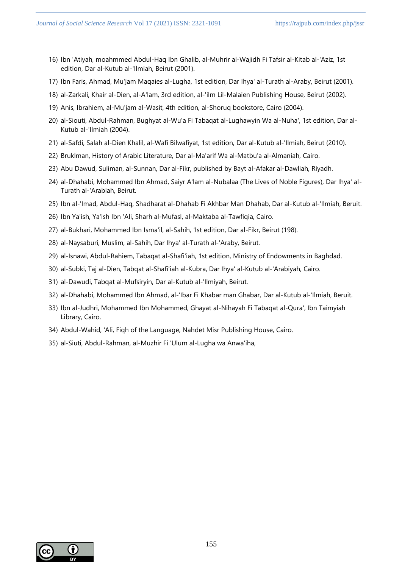- 16) Ibn 'Atiyah, moahmmed Abdul-Haq Ibn Ghalib, al-Muhrir al-Wajidh Fi Tafsir al-Kitab al-'Aziz, 1st edition, Dar al-Kutub al-'Ilmiah, Beirut (2001).
- 17) Ibn Faris, Ahmad, Mu'jam Maqaies al-Lugha, 1st edition, Dar Ihya' al-Turath al-Araby, Beirut (2001).
- 18) al-Zarkali, Khair al-Dien, al-A'lam, 3rd edition, al-'ilm Lil-Malaien Publishing House, Beirut (2002).
- 19) Anis, Ibrahiem, al-Mu'jam al-Wasit, 4th edition, al-Shoruq bookstore, Cairo (2004).
- 20) al-Siouti, Abdul-Rahman, Bughyat al-Wu'a Fi Tabaqat al-Lughawyin Wa al-Nuha', 1st edition, Dar al-Kutub al-'Ilmiah (2004).
- 21) al-Safdi, Salah al-Dien Khalil, al-Wafi Bilwafiyat, 1st edition, Dar al-Kutub al-'Ilmiah, Beirut (2010).
- 22) Bruklman, History of Arabic Literature, Dar al-Ma'arif Wa al-Matbu'a al-Almaniah, Cairo.
- 23) Abu Dawud, Suliman, al-Sunnan, Dar al-Fikr, published by Bayt al-Afakar al-Dawliah, Riyadh.
- 24) al-Dhahabi, Mohammed Ibn Ahmad, Saiyr A'lam al-Nubalaa (The Lives of Noble Figures), Dar Ihya' al-Turath al-'Arabiah, Beirut.
- 25) Ibn al-'Imad, Abdul-Haq, Shadharat al-Dhahab Fi Akhbar Man Dhahab, Dar al-Kutub al-'Ilmiah, Beruit.
- 26) Ibn Ya'ish, Ya'ish Ibn 'Ali, Sharh al-Mufasl, al-Maktaba al-Tawfiqia, Cairo.
- 27) al-Bukhari, Mohammed Ibn Isma'il, al-Sahih, 1st edition, Dar al-Fikr, Beirut (198).
- 28) al-Naysaburi, Muslim, al-Sahih, Dar Ihya' al-Turath al-'Araby, Beirut.
- 29) al-Isnawi, Abdul-Rahiem, Tabaqat al-Shafi'iah, 1st edition, Ministry of Endowments in Baghdad.
- 30) al-Subki, Taj al-Dien, Tabqat al-Shafi'iah al-Kubra, Dar Ihya' al-Kutub al-'Arabiyah, Cairo.
- 31) al-Dawudi, Tabqat al-Mufsiryin, Dar al-Kutub al-'Ilmiyah, Beirut.
- 32) al-Dhahabi, Mohammed Ibn Ahmad, al-'Ibar Fi Khabar man Ghabar, Dar al-Kutub al-'Ilmiah, Beruit.
- 33) Ibn al-Judhri, Mohammed Ibn Mohammed, Ghayat al-Nihayah Fi Tabaqat al-Qura', Ibn Taimyiah Library, Cairo.
- 34) Abdul-Wahid, 'Ali, Fiqh of the Language, Nahdet Misr Publishing House, Cairo.
- 35) al-Siuti, Abdul-Rahman, al-Muzhir Fi 'Ulum al-Lugha wa Anwa'iha,

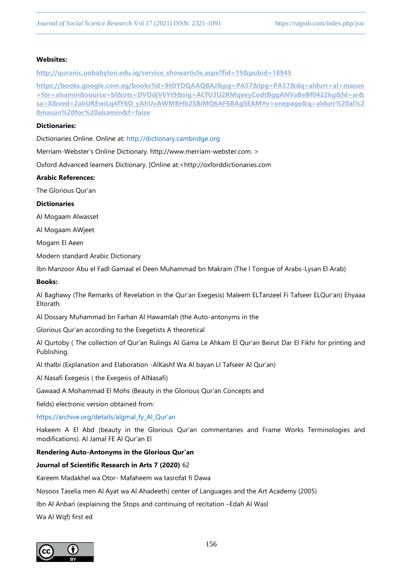#### **Websites:**

**[http://quranic.uobabylon.edu.iq/service\\_showarticle.aspx?fid=19&pubid=18945](http://quranic.uobabylon.edu.iq/service_showarticle.aspx?fid=19&pubid=18945)**

**[https://books.google.com.eg/books?id=9tOYDQAAQBAJ&pg=PA57&lpg=PA57&dq=aldurr+al+masun](https://books.google.com.eg/books?id=9tOYDQAAQBAJ&pg=PA57&lpg=PA57&dq=aldurr+al+masun+for+alsamin&source=bl&ots=DVOdjV6Yt9&sig=ACfU3U2RMqeeyCodtBggANVaBeBf0422kg&hl=ar&sa=X&ved=2ahUKEwiLq4fY6O_yAhUvAWMBHb2SBiMQ6AF6BAgSEAM#v=onepage&q=aldurr%20al%20masun%20for%20alsamin&f=false) [+for+alsamin&source=bl&ots=DVOdjV6Yt9&sig=ACfU3U2RMqeeyCodtBggANVaBeBf0422kg&hl=ar&](https://books.google.com.eg/books?id=9tOYDQAAQBAJ&pg=PA57&lpg=PA57&dq=aldurr+al+masun+for+alsamin&source=bl&ots=DVOdjV6Yt9&sig=ACfU3U2RMqeeyCodtBggANVaBeBf0422kg&hl=ar&sa=X&ved=2ahUKEwiLq4fY6O_yAhUvAWMBHb2SBiMQ6AF6BAgSEAM#v=onepage&q=aldurr%20al%20masun%20for%20alsamin&f=false) [sa=X&ved=2ahUKEwiLq4fY6O\\_yAhUvAWMBHb2SBiMQ6AF6BAgSEAM#v=onepage&q=aldurr%20al%2](https://books.google.com.eg/books?id=9tOYDQAAQBAJ&pg=PA57&lpg=PA57&dq=aldurr+al+masun+for+alsamin&source=bl&ots=DVOdjV6Yt9&sig=ACfU3U2RMqeeyCodtBggANVaBeBf0422kg&hl=ar&sa=X&ved=2ahUKEwiLq4fY6O_yAhUvAWMBHb2SBiMQ6AF6BAgSEAM#v=onepage&q=aldurr%20al%20masun%20for%20alsamin&f=false) [0masun%20for%20alsamin&f=false](https://books.google.com.eg/books?id=9tOYDQAAQBAJ&pg=PA57&lpg=PA57&dq=aldurr+al+masun+for+alsamin&source=bl&ots=DVOdjV6Yt9&sig=ACfU3U2RMqeeyCodtBggANVaBeBf0422kg&hl=ar&sa=X&ved=2ahUKEwiLq4fY6O_yAhUvAWMBHb2SBiMQ6AF6BAgSEAM#v=onepage&q=aldurr%20al%20masun%20for%20alsamin&f=false)**

## **Dictionaries:**

Dictionaries Online. Online at: http://dictionary.cambridge.org

Merriam-Webster's Online Dictionary. http://www.merriam-webster.com. >

Oxford Advanced learners Dictionary. [Online at:<http://oxforddictionaries.com

## **Arabic References:**

The Glorious Qur'an

## **Dictionaries**

Al Mogaam Alwasset

Al Mogaam AWjeet

Mogam El Aeen

Modern standard Arabic Dictionary

Ibn Manzoor Abu el Fadl Gamaal el Deen Muhammad bn Makram (The l Tongue of Arabs-Lysan El Arab)

#### **Books:**

Al Baghawy (The Remarks of Revelation in the Qur'an Exegesis) Maleem ELTanzeel Fi Tafseer ELQur'an) Ehyaaa Eltorath.

Al Dossary Muhammad bn Farhan Al Hawamlah (the Auto-antonyms in the

Glorious Qur'an according to the Exegetists A theoretical

Al Qurtoby ( The collection of Qur'an Rulings Al Gama Le Ahkam El Qur'an Beirut Dar El Fikhr for printing and Publishing.

Al thalbi (Explanation and Elaboration -AlKashf Wa Al bayan LI Tafseer Al Qur'an)

Al Nasafi Exegesis ( the Exegesis of AlNasafi)

Gawaad A Mohammad El Mohs (Beauty in the Glorious Qur'an Concepts and

fields) electronic version obtained from:

https://archive.org/details/algmal\_fy\_Al\_Qur'an

Hakeem A El Abd (beauty in the Glorious Qur'an commentaries and Frame Works Terminologies and modifications). Al Jamal FE Al Qur'an El

# **Rendering Auto-Antonyms in the Glorious Qur'an**

# **Journal of Scientific Research in Arts 7 (2020)** 62

Kareem Madakhel wa Otor- Mafaheem wa tasrofat fi Dawa

Nosoos Taselia men Al Ayat wa Al Ahadeeth) center of Languages and the Art Academy (2005)

Ibn Al Anbari (explaining the Stops and continuing of recitation –Edah Al Wasl

Wa Al Wqf) first ed

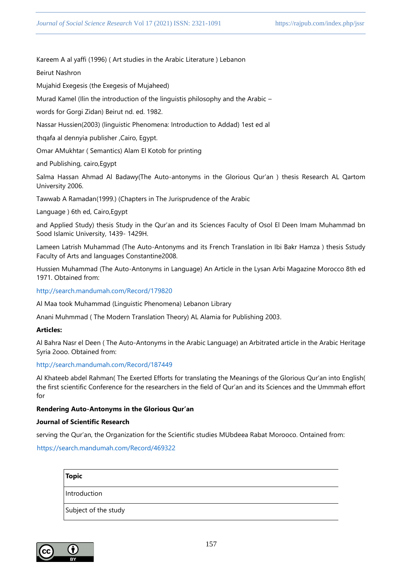Kareem A al yaffi (1996) ( Art studies in the Arabic Literature ) Lebanon

Beirut Nashron

Mujahid Exegesis (the Exegesis of Mujaheed)

Murad Kamel (Ilin the introduction of the linguistis philosophy and the Arabic –

words for Gorgi Zidan) Beirut nd. ed. 1982.

Nassar Hussien(2003) (linguistic Phenomena: Introduction to Addad) 1est ed al

thqafa al dennyia publisher ,Cairo, Egypt.

Omar AMukhtar ( Semantics) Alam El Kotob for printing

and Publishing, cairo,Egypt

Salma Hassan Ahmad Al Badawy(The Auto-antonyms in the Glorious Qur'an ) thesis Research AL Qartom University 2006.

Tawwab A Ramadan(1999.) (Chapters in The Jurisprudence of the Arabic

Language ) 6th ed, Cairo,Egypt

and Applied Study) thesis Study in the Qur'an and its Sciences Faculty of Osol El Deen Imam Muhammad bn Sood Islamic University, 1439- 1429H.

Lameen Latrish Muhammad (The Auto-Antonyms and its French Translation in Ibi Bakr Hamza ) thesis Sstudy Faculty of Arts and languages Constantine2008.

Hussien Muhammad (The Auto-Antonyms in Language) An Article in the Lysan Arbi Magazine Morocco 8th ed 1971. Obtained from:

http://search.mandumah.com/Record/179820

Al Maa took Muhammad (Linguistic Phenomena) Lebanon Library

Anani Muhmmad ( The Modern Translation Theory) AL Alamia for Publishing 2003.

#### **Articles:**

Al Bahra Nasr el Deen ( The Auto-Antonyms in the Arabic Language) an Arbitrated article in the Arabic Heritage Syria 2ooo. Obtained from:

#### http://search.mandumah.com/Record/187449

Al Khateeb abdel Rahman( The Exerted Efforts for translating the Meanings of the Glorious Qur'an into English( the first scientific Conference for the researchers in the field of Qur'an and its Sciences and the Ummmah effort for

#### **Rendering Auto-Antonyms in the Glorious Qur'an**

#### **Journal of Scientific Research**

serving the Qur'an, the Organization for the Scientific studies MUbdeea Rabat Morooco. Ontained from:

# https://search.mandumah.com/Record/469322

| <b>Topic</b>         |  |  |
|----------------------|--|--|
| Introduction         |  |  |
| Subject of the study |  |  |